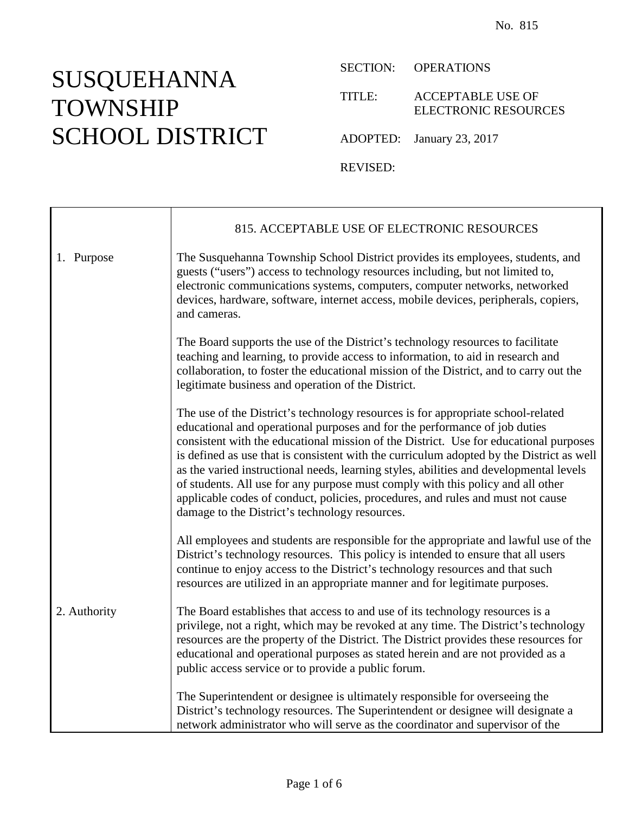# SUSQUEHANNA TOWNSHIP SCHOOL DISTRICT

SECTION: OPERATIONS

TITLE: ACCEPTABLE USE OF ELECTRONIC RESOURCES

ADOPTED: January 23, 2017

REVISED:

|              | 815. ACCEPTABLE USE OF ELECTRONIC RESOURCES                                                                                                                                                                                                                                                                                                                                                                                                                                                                                                                                                                                                                           |
|--------------|-----------------------------------------------------------------------------------------------------------------------------------------------------------------------------------------------------------------------------------------------------------------------------------------------------------------------------------------------------------------------------------------------------------------------------------------------------------------------------------------------------------------------------------------------------------------------------------------------------------------------------------------------------------------------|
| 1. Purpose   | The Susquehanna Township School District provides its employees, students, and<br>guests ("users") access to technology resources including, but not limited to,<br>electronic communications systems, computers, computer networks, networked<br>devices, hardware, software, internet access, mobile devices, peripherals, copiers,<br>and cameras.                                                                                                                                                                                                                                                                                                                 |
|              | The Board supports the use of the District's technology resources to facilitate<br>teaching and learning, to provide access to information, to aid in research and<br>collaboration, to foster the educational mission of the District, and to carry out the<br>legitimate business and operation of the District.                                                                                                                                                                                                                                                                                                                                                    |
|              | The use of the District's technology resources is for appropriate school-related<br>educational and operational purposes and for the performance of job duties<br>consistent with the educational mission of the District. Use for educational purposes<br>is defined as use that is consistent with the curriculum adopted by the District as well<br>as the varied instructional needs, learning styles, abilities and developmental levels<br>of students. All use for any purpose must comply with this policy and all other<br>applicable codes of conduct, policies, procedures, and rules and must not cause<br>damage to the District's technology resources. |
|              | All employees and students are responsible for the appropriate and lawful use of the<br>District's technology resources. This policy is intended to ensure that all users<br>continue to enjoy access to the District's technology resources and that such<br>resources are utilized in an appropriate manner and for legitimate purposes.                                                                                                                                                                                                                                                                                                                            |
| 2. Authority | The Board establishes that access to and use of its technology resources is a<br>privilege, not a right, which may be revoked at any time. The District's technology<br>resources are the property of the District. The District provides these resources for<br>educational and operational purposes as stated herein and are not provided as a<br>public access service or to provide a public forum.                                                                                                                                                                                                                                                               |
|              | The Superintendent or designee is ultimately responsible for overseeing the<br>District's technology resources. The Superintendent or designee will designate a<br>network administrator who will serve as the coordinator and supervisor of the                                                                                                                                                                                                                                                                                                                                                                                                                      |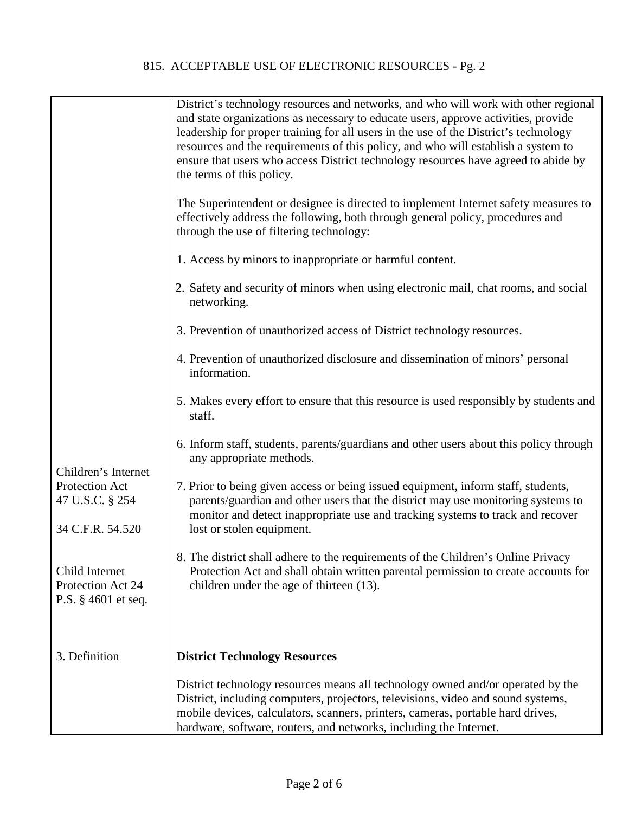|                                                            | District technology resources means all technology owned and/or operated by the<br>District, including computers, projectors, televisions, video and sound systems,<br>mobile devices, calculators, scanners, printers, cameras, portable hard drives,<br>hardware, software, routers, and networks, including the Internet. |
|------------------------------------------------------------|------------------------------------------------------------------------------------------------------------------------------------------------------------------------------------------------------------------------------------------------------------------------------------------------------------------------------|
| 3. Definition                                              | <b>District Technology Resources</b>                                                                                                                                                                                                                                                                                         |
| Child Internet<br>Protection Act 24<br>P.S. § 4601 et seq. | 8. The district shall adhere to the requirements of the Children's Online Privacy<br>Protection Act and shall obtain written parental permission to create accounts for<br>children under the age of thirteen (13).                                                                                                          |
| Protection Act<br>47 U.S.C. § 254<br>34 C.F.R. 54.520      | 7. Prior to being given access or being issued equipment, inform staff, students,<br>parents/guardian and other users that the district may use monitoring systems to<br>monitor and detect inappropriate use and tracking systems to track and recover<br>lost or stolen equipment.                                         |
| Children's Internet                                        | 6. Inform staff, students, parents/guardians and other users about this policy through<br>any appropriate methods.                                                                                                                                                                                                           |
|                                                            | 5. Makes every effort to ensure that this resource is used responsibly by students and<br>staff.                                                                                                                                                                                                                             |
|                                                            | 4. Prevention of unauthorized disclosure and dissemination of minors' personal<br>information.                                                                                                                                                                                                                               |
|                                                            | 3. Prevention of unauthorized access of District technology resources.                                                                                                                                                                                                                                                       |
|                                                            | 2. Safety and security of minors when using electronic mail, chat rooms, and social<br>networking.                                                                                                                                                                                                                           |
|                                                            | 1. Access by minors to inappropriate or harmful content.                                                                                                                                                                                                                                                                     |
|                                                            | The Superintendent or designee is directed to implement Internet safety measures to<br>effectively address the following, both through general policy, procedures and<br>through the use of filtering technology:                                                                                                            |
|                                                            | leadership for proper training for all users in the use of the District's technology<br>resources and the requirements of this policy, and who will establish a system to<br>ensure that users who access District technology resources have agreed to abide by<br>the terms of this policy.                                 |
|                                                            | District's technology resources and networks, and who will work with other regional<br>and state organizations as necessary to educate users, approve activities, provide                                                                                                                                                    |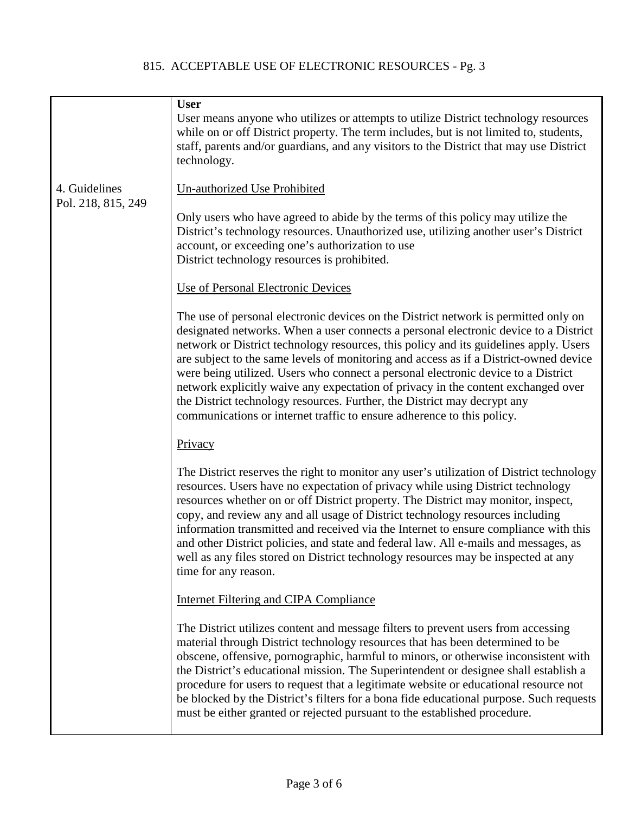|                                     | <b>User</b><br>User means anyone who utilizes or attempts to utilize District technology resources<br>while on or off District property. The term includes, but is not limited to, students,<br>staff, parents and/or guardians, and any visitors to the District that may use District<br>technology.                                                                                                                                                                                                                                                                                                                                                                                        |
|-------------------------------------|-----------------------------------------------------------------------------------------------------------------------------------------------------------------------------------------------------------------------------------------------------------------------------------------------------------------------------------------------------------------------------------------------------------------------------------------------------------------------------------------------------------------------------------------------------------------------------------------------------------------------------------------------------------------------------------------------|
| 4. Guidelines<br>Pol. 218, 815, 249 | <b>Un-authorized Use Prohibited</b>                                                                                                                                                                                                                                                                                                                                                                                                                                                                                                                                                                                                                                                           |
|                                     | Only users who have agreed to abide by the terms of this policy may utilize the<br>District's technology resources. Unauthorized use, utilizing another user's District<br>account, or exceeding one's authorization to use<br>District technology resources is prohibited.                                                                                                                                                                                                                                                                                                                                                                                                                   |
|                                     | Use of Personal Electronic Devices                                                                                                                                                                                                                                                                                                                                                                                                                                                                                                                                                                                                                                                            |
|                                     | The use of personal electronic devices on the District network is permitted only on<br>designated networks. When a user connects a personal electronic device to a District<br>network or District technology resources, this policy and its guidelines apply. Users<br>are subject to the same levels of monitoring and access as if a District-owned device<br>were being utilized. Users who connect a personal electronic device to a District<br>network explicitly waive any expectation of privacy in the content exchanged over<br>the District technology resources. Further, the District may decrypt any<br>communications or internet traffic to ensure adherence to this policy. |
|                                     | Privacy                                                                                                                                                                                                                                                                                                                                                                                                                                                                                                                                                                                                                                                                                       |
|                                     | The District reserves the right to monitor any user's utilization of District technology<br>resources. Users have no expectation of privacy while using District technology<br>resources whether on or off District property. The District may monitor, inspect,<br>copy, and review any and all usage of District technology resources including<br>information transmitted and received via the Internet to ensure compliance with this<br>and other District policies, and state and federal law. All e-mails and messages, as<br>well as any files stored on District technology resources may be inspected at any<br>time for any reason.                                                |
|                                     | Internet Filtering and CIPA Compliance                                                                                                                                                                                                                                                                                                                                                                                                                                                                                                                                                                                                                                                        |
|                                     | The District utilizes content and message filters to prevent users from accessing<br>material through District technology resources that has been determined to be<br>obscene, offensive, pornographic, harmful to minors, or otherwise inconsistent with<br>the District's educational mission. The Superintendent or designee shall establish a<br>procedure for users to request that a legitimate website or educational resource not<br>be blocked by the District's filters for a bona fide educational purpose. Such requests<br>must be either granted or rejected pursuant to the established procedure.                                                                             |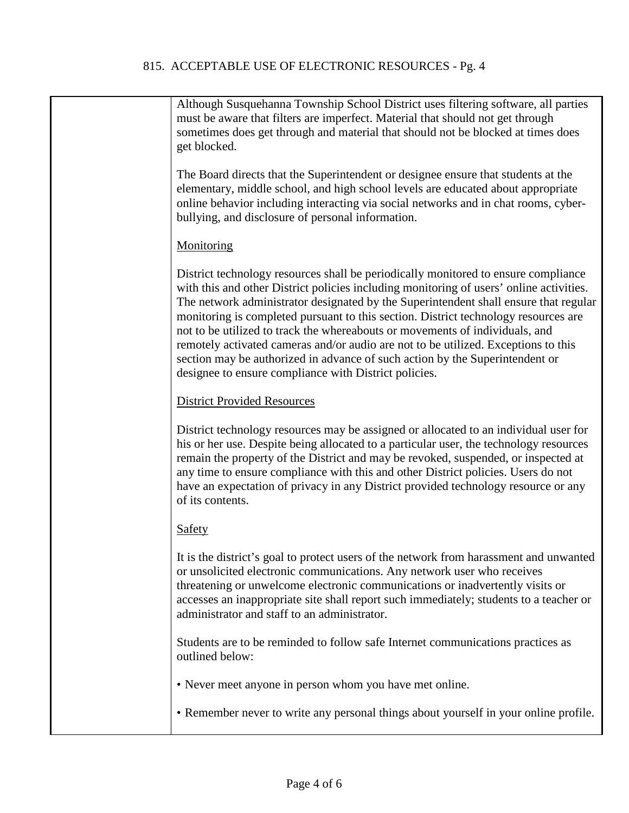| Although Susquehanna Township School District uses filtering software, all parties<br>must be aware that filters are imperfect. Material that should not get through<br>sometimes does get through and material that should not be blocked at times does<br>get blocked.                                                                                                                                                                                                                                                                                                                                                                                                    |
|-----------------------------------------------------------------------------------------------------------------------------------------------------------------------------------------------------------------------------------------------------------------------------------------------------------------------------------------------------------------------------------------------------------------------------------------------------------------------------------------------------------------------------------------------------------------------------------------------------------------------------------------------------------------------------|
| The Board directs that the Superintendent or designee ensure that students at the<br>elementary, middle school, and high school levels are educated about appropriate<br>online behavior including interacting via social networks and in chat rooms, cyber-<br>bullying, and disclosure of personal information.                                                                                                                                                                                                                                                                                                                                                           |
| Monitoring                                                                                                                                                                                                                                                                                                                                                                                                                                                                                                                                                                                                                                                                  |
| District technology resources shall be periodically monitored to ensure compliance<br>with this and other District policies including monitoring of users' online activities.<br>The network administrator designated by the Superintendent shall ensure that regular<br>monitoring is completed pursuant to this section. District technology resources are<br>not to be utilized to track the whereabouts or movements of individuals, and<br>remotely activated cameras and/or audio are not to be utilized. Exceptions to this<br>section may be authorized in advance of such action by the Superintendent or<br>designee to ensure compliance with District policies. |
| <b>District Provided Resources</b>                                                                                                                                                                                                                                                                                                                                                                                                                                                                                                                                                                                                                                          |
| District technology resources may be assigned or allocated to an individual user for<br>his or her use. Despite being allocated to a particular user, the technology resources<br>remain the property of the District and may be revoked, suspended, or inspected at<br>any time to ensure compliance with this and other District policies. Users do not<br>have an expectation of privacy in any District provided technology resource or any<br>of its contents.                                                                                                                                                                                                         |
| <b>Safety</b>                                                                                                                                                                                                                                                                                                                                                                                                                                                                                                                                                                                                                                                               |
| It is the district's goal to protect users of the network from harassment and unwanted<br>or unsolicited electronic communications. Any network user who receives<br>threatening or unwelcome electronic communications or inadvertently visits or<br>accesses an inappropriate site shall report such immediately; students to a teacher or<br>administrator and staff to an administrator.                                                                                                                                                                                                                                                                                |
| Students are to be reminded to follow safe Internet communications practices as<br>outlined below:                                                                                                                                                                                                                                                                                                                                                                                                                                                                                                                                                                          |
| • Never meet anyone in person whom you have met online.                                                                                                                                                                                                                                                                                                                                                                                                                                                                                                                                                                                                                     |
| • Remember never to write any personal things about yourself in your online profile.                                                                                                                                                                                                                                                                                                                                                                                                                                                                                                                                                                                        |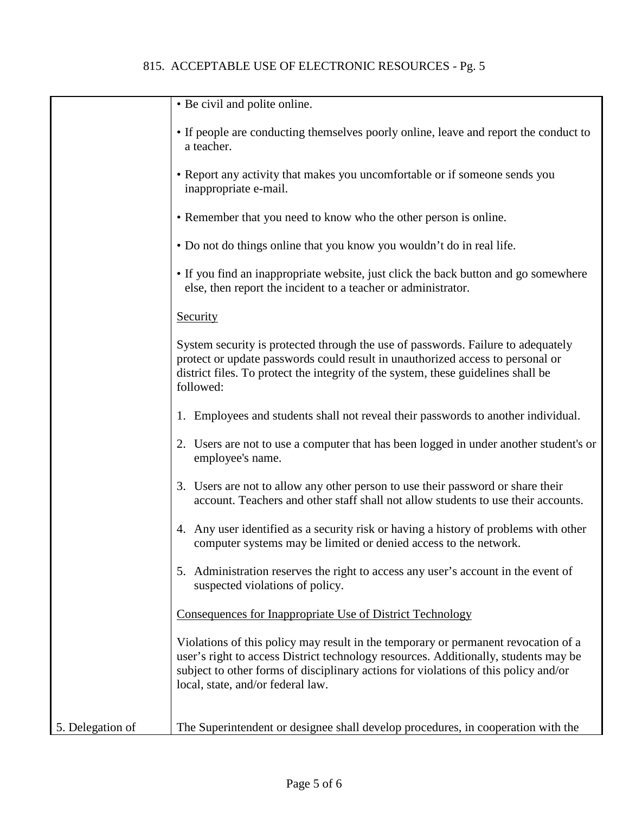|                  | • Be civil and polite online.                                                                                                                                                                                                                                                                         |
|------------------|-------------------------------------------------------------------------------------------------------------------------------------------------------------------------------------------------------------------------------------------------------------------------------------------------------|
|                  | • If people are conducting themselves poorly online, leave and report the conduct to<br>a teacher.                                                                                                                                                                                                    |
|                  | • Report any activity that makes you uncomfortable or if someone sends you<br>inappropriate e-mail.                                                                                                                                                                                                   |
|                  | • Remember that you need to know who the other person is online.                                                                                                                                                                                                                                      |
|                  | • Do not do things online that you know you wouldn't do in real life.                                                                                                                                                                                                                                 |
|                  | • If you find an inappropriate website, just click the back button and go somewhere<br>else, then report the incident to a teacher or administrator.                                                                                                                                                  |
|                  | Security                                                                                                                                                                                                                                                                                              |
|                  | System security is protected through the use of passwords. Failure to adequately<br>protect or update passwords could result in unauthorized access to personal or<br>district files. To protect the integrity of the system, these guidelines shall be<br>followed:                                  |
|                  | 1. Employees and students shall not reveal their passwords to another individual.                                                                                                                                                                                                                     |
|                  | 2. Users are not to use a computer that has been logged in under another student's or<br>employee's name.                                                                                                                                                                                             |
|                  | 3. Users are not to allow any other person to use their password or share their<br>account. Teachers and other staff shall not allow students to use their accounts.                                                                                                                                  |
|                  | 4. Any user identified as a security risk or having a history of problems with other<br>computer systems may be limited or denied access to the network.                                                                                                                                              |
|                  | 5. Administration reserves the right to access any user's account in the event of<br>suspected violations of policy.                                                                                                                                                                                  |
|                  | Consequences for Inappropriate Use of District Technology                                                                                                                                                                                                                                             |
|                  | Violations of this policy may result in the temporary or permanent revocation of a<br>user's right to access District technology resources. Additionally, students may be<br>subject to other forms of disciplinary actions for violations of this policy and/or<br>local, state, and/or federal law. |
| 5. Delegation of | The Superintendent or designee shall develop procedures, in cooperation with the                                                                                                                                                                                                                      |